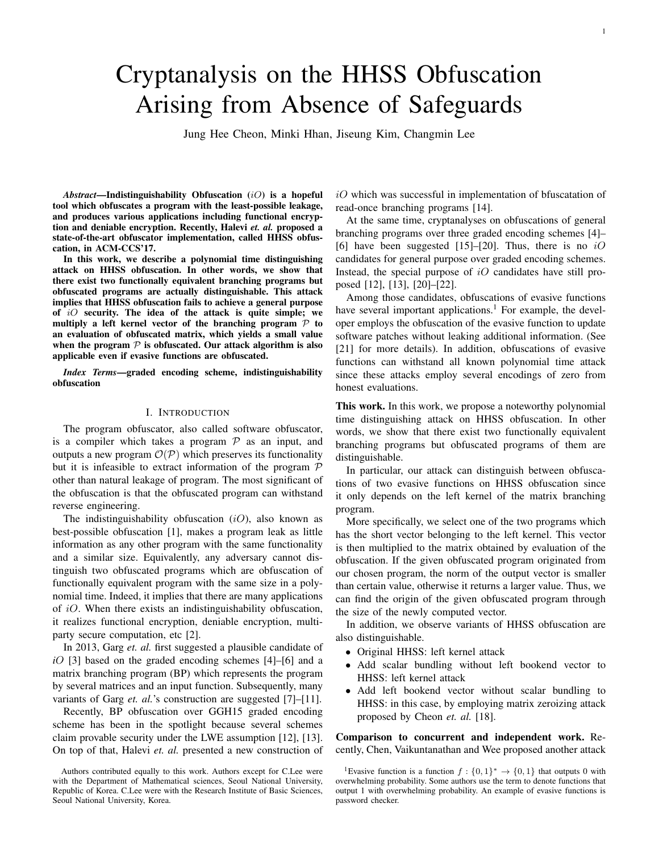# Cryptanalysis on the HHSS Obfuscation Arising from Absence of Safeguards

Jung Hee Cheon, Minki Hhan, Jiseung Kim, Changmin Lee

*Abstract*—Indistinguishability Obfuscation (iO) is a hopeful tool which obfuscates a program with the least-possible leakage, and produces various applications including functional encryption and deniable encryption. Recently, Halevi *et. al.* proposed a state-of-the-art obfuscator implementation, called HHSS obfuscation, in ACM-CCS'17.

In this work, we describe a polynomial time distinguishing attack on HHSS obfuscation. In other words, we show that there exist two functionally equivalent branching programs but obfuscated programs are actually distinguishable. This attack implies that HHSS obfuscation fails to achieve a general purpose of  $iO$  security. The idea of the attack is quite simple; we multiply a left kernel vector of the branching program  $P$  to an evaluation of obfuscated matrix, which yields a small value when the program  $P$  is obfuscated. Our attack algorithm is also applicable even if evasive functions are obfuscated.

*Index Terms*—graded encoding scheme, indistinguishability obfuscation

#### I. INTRODUCTION

The program obfuscator, also called software obfuscator, is a compiler which takes a program  $P$  as an input, and outputs a new program  $\mathcal{O}(\mathcal{P})$  which preserves its functionality but it is infeasible to extract information of the program  $P$ other than natural leakage of program. The most significant of the obfuscation is that the obfuscated program can withstand reverse engineering.

The indistinguishability obfuscation  $(iO)$ , also known as best-possible obfuscation [1], makes a program leak as little information as any other program with the same functionality and a similar size. Equivalently, any adversary cannot distinguish two obfuscated programs which are obfuscation of functionally equivalent program with the same size in a polynomial time. Indeed, it implies that there are many applications of  $iO$ . When there exists an indistinguishability obfuscation, it realizes functional encryption, deniable encryption, multiparty secure computation, etc [2].

In 2013, Garg *et. al.* first suggested a plausible candidate of *i*O [3] based on the graded encoding schemes [4]–[6] and a matrix branching program (BP) which represents the program by several matrices and an input function. Subsequently, many variants of Garg *et. al.*'s construction are suggested [7]–[11].

Recently, BP obfuscation over GGH15 graded encoding scheme has been in the spotlight because several schemes claim provable security under the LWE assumption [12], [13]. On top of that, Halevi *et. al.* presented a new construction of

Authors contributed equally to this work. Authors except for C.Lee were with the Department of Mathematical sciences, Seoul National University, Republic of Korea. C.Lee were with the Research Institute of Basic Sciences, Seoul National University, Korea.

 $iO$  which was successful in implementation of bfuscatation of read-once branching programs [14].

At the same time, cryptanalyses on obfuscations of general branching programs over three graded encoding schemes [4]– [6] have been suggested [15]–[20]. Thus, there is no *iO* candidates for general purpose over graded encoding schemes. Instead, the special purpose of  $iO$  candidates have still proposed [12], [13], [20]–[22].

Among those candidates, obfuscations of evasive functions have several important applications.<sup>1</sup> For example, the developer employs the obfuscation of the evasive function to update software patches without leaking additional information. (See [21] for more details). In addition, obfuscations of evasive functions can withstand all known polynomial time attack since these attacks employ several encodings of zero from honest evaluations.

This work. In this work, we propose a noteworthy polynomial time distinguishing attack on HHSS obfuscation. In other words, we show that there exist two functionally equivalent branching programs but obfuscated programs of them are distinguishable.

In particular, our attack can distinguish between obfuscations of two evasive functions on HHSS obfuscation since it only depends on the left kernel of the matrix branching program.

More specifically, we select one of the two programs which has the short vector belonging to the left kernel. This vector is then multiplied to the matrix obtained by evaluation of the obfuscation. If the given obfuscated program originated from our chosen program, the norm of the output vector is smaller than certain value, otherwise it returns a larger value. Thus, we can find the origin of the given obfuscated program through the size of the newly computed vector.

In addition, we observe variants of HHSS obfuscation are also distinguishable.

- Original HHSS: left kernel attack
- Add scalar bundling without left bookend vector to HHSS: left kernel attack
- Add left bookend vector without scalar bundling to HHSS: in this case, by employing matrix zeroizing attack proposed by Cheon *et. al.* [18].

Comparison to concurrent and independent work. Recently, Chen, Vaikuntanathan and Wee proposed another attack

<sup>&</sup>lt;sup>1</sup>Evasive function is a function  $f: \{0,1\}^* \to \{0,1\}$  that outputs 0 with overwhelming probability. Some authors use the term to denote functions that output 1 with overwhelming probability. An example of evasive functions is password checker.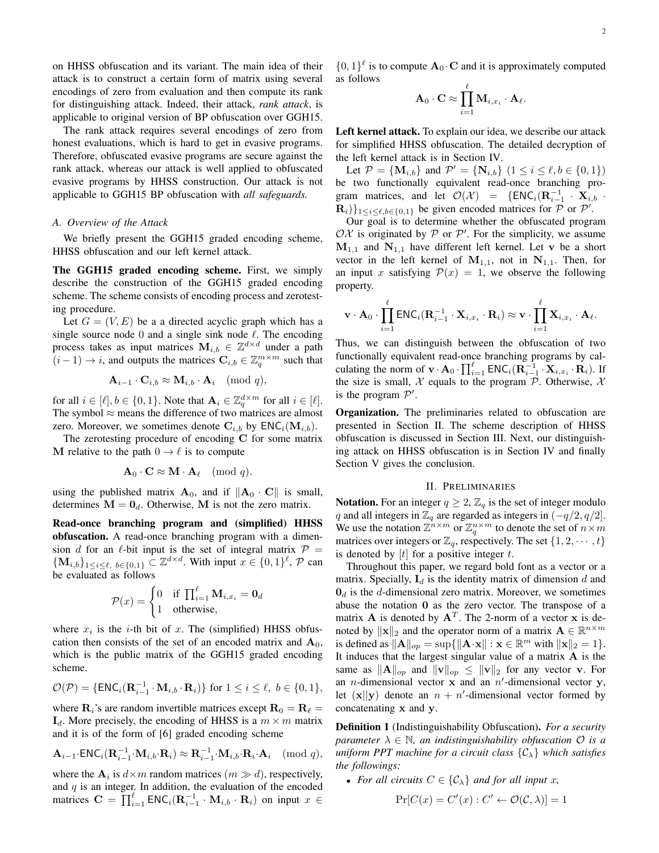on HHSS obfuscation and its variant. The main idea of their attack is to construct a certain form of matrix using several encodings of zero from evaluation and then compute its rank for distinguishing attack. Indeed, their attack, *rank attack*, is applicable to original version of BP obfuscation over GGH15.

The rank attack requires several encodings of zero from honest evaluations, which is hard to get in evasive programs. Therefore, obfuscated evasive programs are secure against the rank attack, whereas our attack is well applied to obfuscated evasive programs by HHSS construction. Our attack is not applicable to GGH15 BP obfuscation with *all safeguards.*

### *A. Overview of the Attack*

We briefly present the GGH15 graded encoding scheme, HHSS obfuscation and our left kernel attack.

The GGH15 graded encoding scheme. First, we simply describe the construction of the GGH15 graded encoding scheme. The scheme consists of encoding process and zerotesting procedure.

Let  $G = (V, E)$  be a a directed acyclic graph which has a single source node 0 and a single sink node  $\ell$ . The encoding process takes as input matrices  $M_{i,b} \in \mathbb{Z}^{d \times d}$  under a path  $(i-1) \rightarrow i$ , and outputs the matrices  $\mathbf{C}_{i,b} \in \mathbb{Z}_q^{m \times m}$  such that

$$
\mathbf{A}_{i-1} \cdot \mathbf{C}_{i,b} \approx \mathbf{M}_{i,b} \cdot \mathbf{A}_i \pmod{q},
$$

for all  $i \in [\ell], b \in \{0, 1\}$ . Note that  $\mathbf{A}_i \in \mathbb{Z}_q^{d \times m}$  for all  $i \in [\ell]$ . The symbol  $\approx$  means the difference of two matrices are almost zero. Moreover, we sometimes denote  $\mathbf{C}_{i,b}$  by  $\mathsf{ENC}_i(\mathbf{M}_{i,b})$ .

The zerotesting procedure of encoding C for some matrix M relative to the path  $0 \rightarrow \ell$  is to compute

$$
\mathbf{A}_0 \cdot \mathbf{C} \approx \mathbf{M} \cdot \mathbf{A}_{\ell} \pmod{q}.
$$

using the published matrix  $A_0$ , and if  $||A_0 \cdot C||$  is small, determines  $M = 0_d$ . Otherwise, M is not the zero matrix.

Read-once branching program and (simplified) HHSS obfuscation. A read-once branching program with a dimension d for an  $\ell$ -bit input is the set of integral matrix  $\mathcal{P} =$  $\{M_{i,b}\}_{1\leq i\leq \ell, b\in\{0,1\}}\subset \mathbb{Z}^{d\times d}$ . With input  $x\in\{0,1\}^{\ell}, \mathcal{P}$  can be evaluated as follows

$$
\mathcal{P}(x) = \begin{cases} 0 & \text{if } \prod_{i=1}^{\ell} \mathbf{M}_{i, x_i} = \mathbf{0}_d \\ 1 & \text{otherwise,} \end{cases}
$$

where  $x_i$  is the *i*-th bit of x. The (simplified) HHSS obfuscation then consists of the set of an encoded matrix and  $A_0$ , which is the public matrix of the GGH15 graded encoding scheme.

$$
\mathcal{O}(\mathcal{P}) = \{ \mathsf{ENC}_i(\mathbf{R}_{i-1}^{-1} \cdot \mathbf{M}_{i,b} \cdot \mathbf{R}_i) \} \text{ for } 1 \leq i \leq \ell, \ b \in \{0,1\},\
$$

where  $\mathbf{R}_i$ 's are random invertible matrices except  $\mathbf{R}_0 = \mathbf{R}_\ell =$  $I_d$ . More precisely, the encoding of HHSS is a  $m \times m$  matrix and it is of the form of [6] graded encoding scheme

$$
\mathbf{A}_{i-1}\text{-}\mathsf{ENC}_i(\mathbf{R}_{i-1}^{-1}\cdot\mathbf{M}_{i,b}\cdot\mathbf{R}_i) \approx \mathbf{R}_{i-1}^{-1}\cdot\mathbf{M}_{i,b}\cdot\mathbf{R}_i\cdot\mathbf{A}_i \pmod{q},
$$

where the  $A_i$  is  $d \times m$  random matrices  $(m \gg d)$ , respectively, and  $q$  is an integer. In addition, the evaluation of the encoded matrices  $\mathbf{C} = \prod_{i=1}^{\ell} \textsf{ENC}_i(\mathbf{R}_{i-1}^{-1} \cdot \mathbf{M}_{i,b} \cdot \mathbf{R}_i)$  on input  $x \in$ 

 $\{0,1\}^{\ell}$  is to compute  $\mathbf{A}_0 \cdot \mathbf{C}$  and it is approximately computed as follows

$$
\mathbf{A}_0 \cdot \mathbf{C} \approx \prod_{i=1}^{\ell} \mathbf{M}_{i,x_i} \cdot \mathbf{A}_{\ell}.
$$

Left kernel attack. To explain our idea, we describe our attack for simplified HHSS obfuscation. The detailed decryption of the left kernel attack is in Section IV.

Let  $P = \{M_{i,b}\}\$  and  $P' = \{N_{i,b}\}\$   $(1 \le i \le \ell, b \in \{0, 1\})$ be two functionally equivalent read-once branching program matrices, and let  $\mathcal{O}(\mathcal{X}) = \{ \textsf{ENC}_i(\mathbf{R}_{i-1}^{-1} \cdot \mathbf{X}_{i,b} \cdot \mathbf{R}_{i+1} \cdot \mathbf{X}_{i,b} \cdot \mathbf{R}_{i+1} \}$  $\mathbf{R}_i$ }<sub>1≤i≤ $\ell$ ,b∈{0,1}</sub> be given encoded matrices for  $\mathcal{P}$  or  $\mathcal{P}'$ .

Our goal is to determine whether the obfuscated program  $OX$  is originated by P or P'. For the simplicity, we assume  $M_{1,1}$  and  $N_{1,1}$  have different left kernel. Let v be a short vector in the left kernel of  $M_{1,1}$ , not in  $N_{1,1}$ . Then, for an input x satisfying  $\mathcal{P}(x) = 1$ , we observe the following property.

$$
\mathbf{v} \cdot \mathbf{A}_0 \cdot \prod_{i=1}^\ell \textsf{ENC}_i (\mathbf{R}_{i-1}^{-1} \cdot \mathbf{X}_{i,x_i} \cdot \mathbf{R}_i) \approx \mathbf{v} \cdot \prod_{i=1}^\ell \mathbf{X}_{i,x_i} \cdot \mathbf{A}_\ell.
$$

Thus, we can distinguish between the obfuscation of two functionally equivalent read-once branching programs by calculating the norm of  $\mathbf{v} \cdot \mathbf{A}_0 \cdot \prod_{i=1}^{\ell} \textsf{ENC}_i(\mathbf{R}_{i-1}^{-1} \cdot \mathbf{X}_{i,x_i} \cdot \mathbf{R}_i)$ . If the size is small,  $\mathcal X$  equals to the program  $\mathcal P$ . Otherwise,  $\mathcal X$ is the program  $\mathcal{P}'$ .

Organization. The preliminaries related to obfuscation are presented in Section II. The scheme description of HHSS obfuscation is discussed in Section III. Next, our distinguishing attack on HHSS obfuscation is in Section IV and finally Section V gives the conclusion.

## II. PRELIMINARIES

**Notation.** For an integer  $q \geq 2$ ,  $\mathbb{Z}_q$  is the set of integer modulo q and all integers in  $\mathbb{Z}_q$  are regarded as integers in  $(-q/2, q/2]$ . We use the notation  $\mathbb{Z}^{n \times m}$  or  $\mathbb{Z}_q^{n \times m}$  to denote the set of  $n \times m$ matrices over integers or  $\mathbb{Z}_q$ , respectively. The set  $\{1, 2, \dots, t\}$ is denoted by  $[t]$  for a positive integer t.

Throughout this paper, we regard bold font as a vector or a matrix. Specially,  $I_d$  is the identity matrix of dimension d and  $\mathbf{0}_d$  is the d-dimensional zero matrix. Moreover, we sometimes abuse the notation 0 as the zero vector. The transpose of a matrix **A** is denoted by  $A<sup>T</sup>$ . The 2-norm of a vector **x** is denoted by  $\|\mathbf{x}\|_2$  and the operator norm of a matrix  $\mathbf{A} \in \mathbb{R}^{n \times m}$ is defined as  $||\mathbf{A}||_{op} = \sup\{||\mathbf{A}\cdot\mathbf{x}|| : \mathbf{x} \in \mathbb{R}^m \text{ with } ||\mathbf{x}||_2 = 1\}.$ It induces that the largest singular value of a matrix  $A$  is the same as  $||A||_{op}$  and  $||v||_{op} \le ||v||_2$  for any vector v. For an *n*-dimensional vector **x** and an  $n'$ -dimensional vector **y**, let  $(x||y)$  denote an  $n + n'$ -dimensional vector formed by concatenating x and y.

Definition 1 (Indistinguishability Obfuscation). *For a security parameter*  $\lambda \in \mathbb{N}$ *, an indistinguishability obfuscation*  $\mathcal{O}$  *is a uniform PPT machine for a circuit class* {Cλ} *which satisfies the followings:*

• For all circuits  $C \in \{C_{\lambda}\}\$  and for all input x,

$$
\Pr[C(x) = C'(x) : C' \leftarrow \mathcal{O}(\mathcal{C}, \lambda)] = 1
$$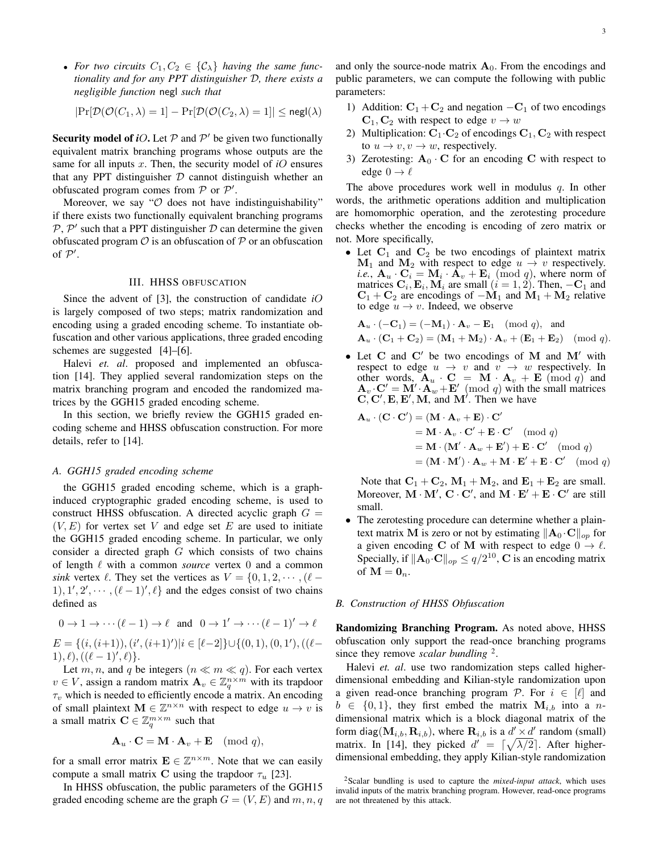• For two circuits  $C_1, C_2 \in \{\mathcal{C}_\lambda\}$  having the same func*tionality and for any PPT distinguisher* D*, there exists a negligible function* negl *such that*

$$
|\Pr[\mathcal{D}(\mathcal{O}(C_1, \lambda) = 1] - \Pr[\mathcal{D}(\mathcal{O}(C_2, \lambda) = 1]| \leq \mathsf{negl}(\lambda)
$$

Security model of *iO*. Let  $P$  and  $P'$  be given two functionally equivalent matrix branching programs whose outputs are the same for all inputs x. Then, the security model of *i*O ensures that any PPT distinguisher  $D$  cannot distinguish whether an obfuscated program comes from  $P$  or  $P'$ .

Moreover, we say " $\mathcal O$  does not have indistinguishability" if there exists two functionally equivalent branching programs  $P$ ,  $P'$  such that a PPT distinguisher  $D$  can determine the given obfuscated program  $\mathcal O$  is an obfuscation of  $\mathcal P$  or an obfuscation of  $P'$ .

## III. HHSS OBFUSCATION

Since the advent of [3], the construction of candidate *i*O is largely composed of two steps; matrix randomization and encoding using a graded encoding scheme. To instantiate obfuscation and other various applications, three graded encoding schemes are suggested [4]–[6].

Halevi *et. al*. proposed and implemented an obfuscation [14]. They applied several randomization steps on the matrix branching program and encoded the randomized matrices by the GGH15 graded encoding scheme.

In this section, we briefly review the GGH15 graded encoding scheme and HHSS obfuscation construction. For more details, refer to [14].

#### *A. GGH15 graded encoding scheme*

the GGH15 graded encoding scheme, which is a graphinduced cryptographic graded encoding scheme, is used to construct HHSS obfuscation. A directed acyclic graph  $G =$  $(V, E)$  for vertex set V and edge set E are used to initiate the GGH15 graded encoding scheme. In particular, we only consider a directed graph  $G$  which consists of two chains of length  $\ell$  with a common *source* vertex 0 and a common *sink* vertex  $\ell$ . They set the vertices as  $V = \{0, 1, 2, \dots, (\ell - \ell)\}$  $1, 1', 2', \dots, (\ell-1)', \ell$  and the edges consist of two chains defined as

$$
0 \to 1 \to \cdots (\ell - 1) \to \ell \text{ and } 0 \to 1' \to \cdots (\ell - 1)' \to \ell
$$
  
\n
$$
E = \{ (i, (i+1)), (i', (i+1)') | i \in [\ell - 2] \} \cup \{ (0, 1), (0, 1'), ((\ell - 1), \ell), ((\ell - 1)', \ell) \}.
$$

Let m, n, and q be integers  $(n \ll m \ll q)$ . For each vertex  $v \in V$ , assign a random matrix  $\mathbf{A}_v \in \mathbb{Z}_q^{n \times m}$  with its trapdoor  $\tau_v$  which is needed to efficiently encode a matrix. An encoding of small plaintext  $\mathbf{M} \in \mathbb{Z}^{n \times n}$  with respect to edge  $u \to v$  is a small matrix  $\mathbf{C} \in \mathbb{Z}_q^{m \times m}$  such that

$$
\mathbf{A}_u \cdot \mathbf{C} = \mathbf{M} \cdot \mathbf{A}_v + \mathbf{E} \pmod{q},
$$

for a small error matrix  $\mathbf{E} \in \mathbb{Z}^{n \times m}$ . Note that we can easily compute a small matrix C using the trapdoor  $\tau_u$  [23].

In HHSS obfuscation, the public parameters of the GGH15 graded encoding scheme are the graph  $G = (V, E)$  and  $m, n, q$  and only the source-node matrix  $A_0$ . From the encodings and public parameters, we can compute the following with public parameters:

- 1) Addition:  $C_1 + C_2$  and negation  $-C_1$  of two encodings  $C_1, C_2$  with respect to edge  $v \to w$
- 2) Multiplication:  $C_1 \cdot C_2$  of encodings  $C_1, C_2$  with respect to  $u \to v, v \to w$ , respectively.
- 3) Zerotesting:  $A_0 \cdot C$  for an encoding C with respect to edge  $0 \rightarrow \ell$

The above procedures work well in modulus  $q$ . In other words, the arithmetic operations addition and multiplication are homomorphic operation, and the zerotesting procedure checks whether the encoding is encoding of zero matrix or not. More specifically,

• Let  $C_1$  and  $C_2$  be two encodings of plaintext matrix  $M_1$  and  $M_2$  with respect to edge  $u \rightarrow v$  respectively. *i.e.*,  $\mathbf{A}_u \cdot \mathbf{C}_i = \mathbf{M}_i \cdot \mathbf{A}_v + \mathbf{E}_i \pmod{q}$ , where norm of matrices  $C_i$ ,  $E_i$ ,  $M_i$  are small  $(i = 1, 2)$ . Then,  $-C_1$  and  $C_1 + C_2$  are encodings of  $-M_1$  and  $M_1 + M_2$  relative to edge  $u \rightarrow v$ . Indeed, we observe

$$
\mathbf{A}_u \cdot (-\mathbf{C}_1) = (-\mathbf{M}_1) \cdot \mathbf{A}_v - \mathbf{E}_1 \pmod{q}, \text{ and}
$$
  

$$
\mathbf{A}_u \cdot (\mathbf{C}_1 + \mathbf{C}_2) = (\mathbf{M}_1 + \mathbf{M}_2) \cdot \mathbf{A}_v + (\mathbf{E}_1 + \mathbf{E}_2) \pmod{q}.
$$

• Let  $C$  and  $C'$  be two encodings of  $M$  and  $M'$  with respect to edge  $u \rightarrow v$  and  $v \rightarrow w$  respectively. In other words,  $\mathbf{A}_u \cdot \mathbf{C} = \mathbf{M} \cdot \mathbf{A}_v + \mathbf{E} \pmod{q}$  and  $\mathbf{A}_v \cdot \mathbf{C}' = \mathbf{M}' \cdot \mathbf{A}_w + \mathbf{E}' \pmod{q}$  with the small matrices  $\mathbf{C}, \mathbf{C}', \mathbf{E}, \mathbf{E}', \mathbf{M}, \text{ and } \mathbf{M}'$ . Then we have

$$
\mathbf{A}_{u} \cdot (\mathbf{C} \cdot \mathbf{C}') = (\mathbf{M} \cdot \mathbf{A}_{v} + \mathbf{E}) \cdot \mathbf{C}'
$$
  
=  $\mathbf{M} \cdot \mathbf{A}_{v} \cdot \mathbf{C}' + \mathbf{E} \cdot \mathbf{C}' \pmod{q}$   
=  $\mathbf{M} \cdot (\mathbf{M}' \cdot \mathbf{A}_{w} + \mathbf{E}') + \mathbf{E} \cdot \mathbf{C}' \pmod{q}$   
=  $(\mathbf{M} \cdot \mathbf{M}') \cdot \mathbf{A}_{w} + \mathbf{M} \cdot \mathbf{E}' + \mathbf{E} \cdot \mathbf{C}' \pmod{q}$ 

Note that  $C_1 + C_2$ ,  $M_1 + M_2$ , and  $E_1 + E_2$  are small. Moreover,  $M \cdot M'$ ,  $C \cdot C'$ , and  $M \cdot E' + E \cdot C'$  are still small.

The zerotesting procedure can determine whether a plaintext matrix M is zero or not by estimating  $\|\mathbf{A}_0 \cdot \mathbf{C}\|_{op}$  for a given encoding C of M with respect to edge  $0 \to \ell$ . Specially, if  $\|\mathbf{A}_0 \cdot \mathbf{C}\|_{op} \le q/2^{10}$ , C is an encoding matrix of  $\mathbf{M} = \mathbf{0}_n$ .

## *B. Construction of HHSS Obfuscation*

Randomizing Branching Program. As noted above, HHSS obfuscation only support the read-once branching programs since they remove *scalar bundling*<sup>2</sup>.

Halevi *et. al*. use two randomization steps called higherdimensional embedding and Kilian-style randomization upon a given read-once branching program P. For  $i \in [\ell]$  and  $b \in \{0, 1\}$ , they first embed the matrix  $M_{i,b}$  into a ndimensional matrix which is a block diagonal matrix of the form diag( $\mathbf{M}_{i,b}, \mathbf{R}_{i,b}$ ), where  $\mathbf{R}_{i,b}$  is a  $d' \times d'$  random (small) matrix. In [14], they picked  $d' = \lceil \sqrt{\lambda/2} \rceil$ . After higherdimensional embedding, they apply Kilian-style randomization

<sup>2</sup>Scalar bundling is used to capture the *mixed-input attack*, which uses invalid inputs of the matrix branching program. However, read-once programs are not threatened by this attack.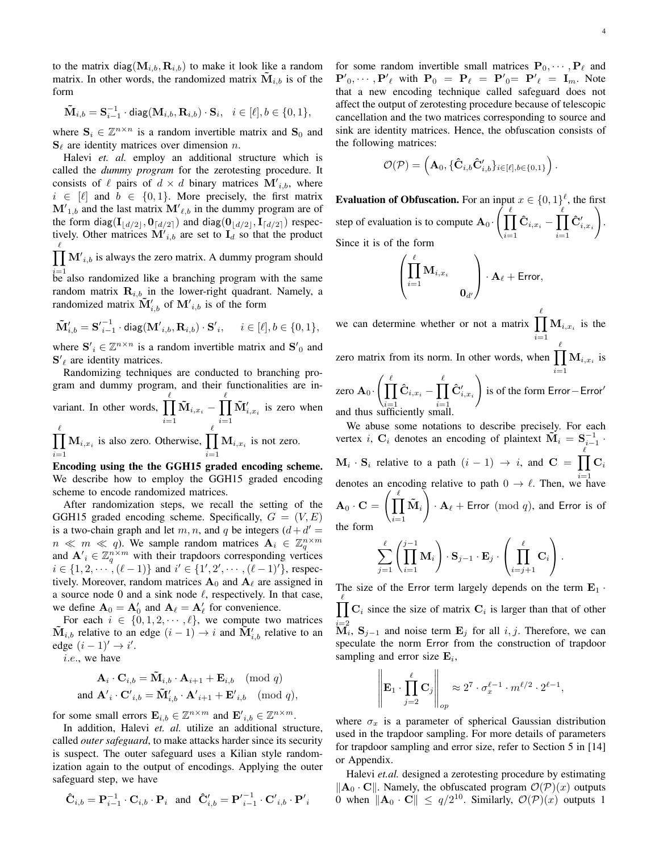to the matrix diag( $M_{i,b}, R_{i,b}$ ) to make it look like a random matrix. In other words, the randomized matrix  $M_{i,b}$  is of the form

$$
\mathbf{\tilde{M}}_{i,b} = \mathbf{S}_{i-1}^{-1}\cdot\mathsf{diag}(\mathbf{M}_{i,b},\mathbf{R}_{i,b})\cdot\mathbf{S}_i,\quad i\in[\ell],b\in\{0,1\},
$$

where  $S_i \in \mathbb{Z}^{n \times n}$  is a random invertible matrix and  $S_0$  and  $S_\ell$  are identity matrices over dimension n.

Halevi *et. al.* employ an additional structure which is called the *dummy program* for the zerotesting procedure. It consists of  $\ell$  pairs of  $d \times d$  binary matrices  $\mathbf{M'}_{i,b}$ , where  $i \in [\ell]$  and  $b \in \{0, 1\}$ . More precisely, the first matrix  $M'_{1,b}$  and the last matrix  $M'_{\ell,b}$  in the dummy program are of the form diag( $\mathbf{I}_{\lfloor d/2 \rfloor}, \mathbf{0}_{\lceil d/2 \rceil}$ ) and diag( $\mathbf{0}_{\lfloor d/2 \rfloor}, \mathbf{I}_{\lceil d/2 \rceil}$ ) respectively. Other matrices  $\mathbf{M}'_{i,b}$  are set to  $\mathbf{I}_d$  so that the product  $\prod M'_{i,b}$  is always the zero matrix. A dummy program should  $\ell$ 

 $i=1$  be also randomized like a branching program with the same random matrix  $\mathbf{R}_{i,b}$  in the lower-right quadrant. Namely, a randomized matrix  $\tilde{\mathbf{M}}'_{i,b}$  of  $\mathbf{M'}_{i,b}$  is of the form

$$
\tilde{\mathbf{M}}'_{i,b} = \mathbf{S'}_{i-1}^{-1} \cdot \text{diag}(\mathbf{M'}_{i,b}, \mathbf{R}_{i,b}) \cdot \mathbf{S'}_{i}, \quad i \in [\ell], b \in \{0, 1\},\
$$

where  $S'_{i} \in \mathbb{Z}^{n \times n}$  is a random invertible matrix and  $S'_{0}$  and  ${\bf S'}_\ell$  are identity matrices.

Randomizing techniques are conducted to branching program and dummy program, and their functionalities are invariant. In other words,  $\prod^{\ell}$  $i=1$  $\mathbf{\tilde{M}}_{i,x_i}-\prod^{\ell}$  $i=1$  $\tilde{\mathbf{M}}'_{i,x_i}$  is zero when  $\frac{\ell}{\prod}$  $i=1$  $\mathbf{M}_{i,x_i}$  is also zero. Otherwise,  $\prod^{\ell}$  $i=1$  $M_{i,x_i}$  is not zero.

Encoding using the the GGH15 graded encoding scheme. We describe how to employ the GGH15 graded encoding scheme to encode randomized matrices.

After randomization steps, we recall the setting of the GGH15 graded encoding scheme. Specifically,  $G = (V, E)$ is a two-chain graph and let m, n, and q be integers  $(d + d)$  $n \ll m \ll q$ ). We sample random matrices  $A_i \in \mathbb{Z}_q^{n \times m}$ and  $\mathbf{A}'_i \in \mathbb{Z}_q^{n \times m}$  with their trapdoors corresponding vertices  $i \in \{1, 2, \dots, (\ell - 1)\}\$  and  $i' \in \{1', 2', \dots, (\ell - 1)'\}\$ , respectively. Moreover, random matrices  $A_0$  and  $A_\ell$  are assigned in a source node 0 and a sink node  $\ell$ , respectively. In that case, we define  $\mathbf{A}_0 = \mathbf{A}'_0$  and  $\mathbf{A}_\ell = \mathbf{A}'_\ell$  for convenience.

For each  $i \in \{0, 1, 2, \dots, \ell\}$ , we compute two matrices  $\tilde{\mathbf{M}}_{i,b}$  relative to an edge  $(i-1) \rightarrow i$  and  $\tilde{\mathbf{M}}'_{i,b}$  relative to an edge  $(i - 1)' \rightarrow i'$ .

i.e., we have

$$
\mathbf{A}_{i} \cdot \mathbf{C}_{i,b} = \tilde{\mathbf{M}}_{i,b} \cdot \mathbf{A}_{i+1} + \mathbf{E}_{i,b} \pmod{q}
$$
  
and  $\mathbf{A'}_{i} \cdot \mathbf{C'}_{i,b} = \tilde{\mathbf{M}}'_{i,b} \cdot \mathbf{A'}_{i+1} + \mathbf{E'}_{i,b} \pmod{q}$ ,

for some small errors  $\mathbf{E}_{i,b} \in \mathbb{Z}^{n \times m}$  and  $\mathbf{E'}_{i,b} \in \mathbb{Z}^{n \times m}$ .

In addition, Halevi *et. al.* utilize an additional structure, called *outer safeguard*, to make attacks harder since its security is suspect. The outer safeguard uses a Kilian style randomization again to the output of encodings. Applying the outer safeguard step, we have

$$
\hat{\mathbf{C}}_{i,b} = \mathbf{P}_{i-1}^{-1} \cdot \mathbf{C}_{i,b} \cdot \mathbf{P}_i \quad \text{and} \quad \hat{\mathbf{C}}'_{i,b} = \mathbf{P'}_{i-1}^{-1} \cdot \mathbf{C'}_{i,b} \cdot \mathbf{P'}_i
$$

for some random invertible small matrices  $P_0, \dots, P_\ell$  and  ${\bf P}'_0, \cdots, {\bf P}'_\ell$  with  ${\bf P}_0 = {\bf P}_\ell = {\bf P}'_0 = {\bf P}'_\ell = {\bf I}_m$ . Note that a new encoding technique called safeguard does not affect the output of zerotesting procedure because of telescopic cancellation and the two matrices corresponding to source and sink are identity matrices. Hence, the obfuscation consists of the following matrices:

$$
\mathcal{O}(\mathcal{P}) = \left(\mathbf{A}_0, \{\mathbf{\hat{C}}_{i,b}\mathbf{\hat{C}}'_{i,b}\}_{i \in [\ell],b \in \{0,1\}}\right).
$$

**Evaluation of Obfuscation.** For an input  $x \in \{0,1\}^{\ell}$ , the first step of evaluation is to compute  $\mathbf{A}_0$   $\Big(\prod_{k=1}^{\ell}$  $i=1$  $\mathbf{\hat{C}}_{i, x_i} - \prod^{\ell}$  $i=1$  $\mathbf{\hat{C}}'_{i,x_i}$  $\setminus$ . Since it is of the form

$$
\left(\prod_{i=1}^{\ell} \mathbf{M}_{i,x_i} \ \mathbf{0}_{d'}\right) \cdot \mathbf{A}_{\ell} + \text{Error},
$$

we can determine whether or not a matrix  $\prod M_{i,x_i}$  is the  $\ell$  $i=1$ zero matrix from its norm. In other words, when  $\prod M_{i,x_i}$  is  $_{\ell}$  $i=1$ zero  $\mathbf{A}_0$ .  $\left(\prod_{i=1}^{l} A_i\right)$  $i=1$  $\mathbf{\hat{C}}_{i,x_i}-\prod^{\ell}$  $i=1$  $\mathbf{\hat{C}}'_{i,x_i}$  $\setminus$ is of the form Error-Error' and thus sufficiently small.

We abuse some notations to describe precisely. For each vertex *i*,  $C_i$  denotes an encoding of plaintext  $\tilde{M}_i = S_{i-1}^{-1}$ .  $\mathbf{M}_i \cdot \mathbf{S}_i$  relative to a path  $(i-1) \rightarrow i$ , and  $\mathbf{C} = \prod^{\ell}$ denotes an encoding relative to path  $0 \to \ell$ . Then, we have  $\mathbf{C}_i$  ${\bf A}_0\cdot {\bf C}=\left(\prod^{\ell} \right)$  $i=1$  $\tilde{\mathbf{M}}_i \bigg)$  $\cdot$  A<sub> $\ell$ </sub> + Error (mod q), and Error is of the form

$$
\sum_{j=1}^{\ell} \left( \prod_{i=1}^{j-1} \mathbf{M}_i \right) \cdot \mathbf{S}_{j-1} \cdot \mathbf{E}_j \cdot \left( \prod_{i=j+1}^{\ell} \mathbf{C}_i \right).
$$

The size of the Error term largely depends on the term  $\mathbf{E}_1$ .  $\prod C_i$  since the size of matrix  $C_i$  is larger than that of other  $\ell$  $\mathbf{\tilde{M}}_i$ ,  $\mathbf{S}_{j-1}$  and noise term  $\mathbf{E}_j$  for all  $i, j$ . Therefore, we can speculate the norm Error from the construction of trapdoor sampling and error size  $\mathbf{E}_i$ ,

$$
\left\|\mathbf{E}_1 \cdot \prod_{j=2}^{\ell} \mathbf{C}_j\right\|_{op} \approx 2^7 \cdot \sigma_x^{\ell-1} \cdot m^{\ell/2} \cdot 2^{\ell-1},
$$

 $\overline{1}$ 

 $\mathbf{H}$ 

where  $\sigma_x$  is a parameter of spherical Gaussian distribution used in the trapdoor sampling. For more details of parameters for trapdoor sampling and error size, refer to Section 5 in [14] or Appendix.

Halevi *et.al.* designed a zerotesting procedure by estimating  $\|\mathbf{A}_0 \cdot \mathbf{C}\|$ . Namely, the obfuscated program  $\mathcal{O}(\mathcal{P})(x)$  outputs 0 when  $\|\mathbf{A}_0 \cdot \mathbf{C}\| \le q/2^{10}$ . Similarly,  $\mathcal{O}(\mathcal{P})(x)$  outputs 1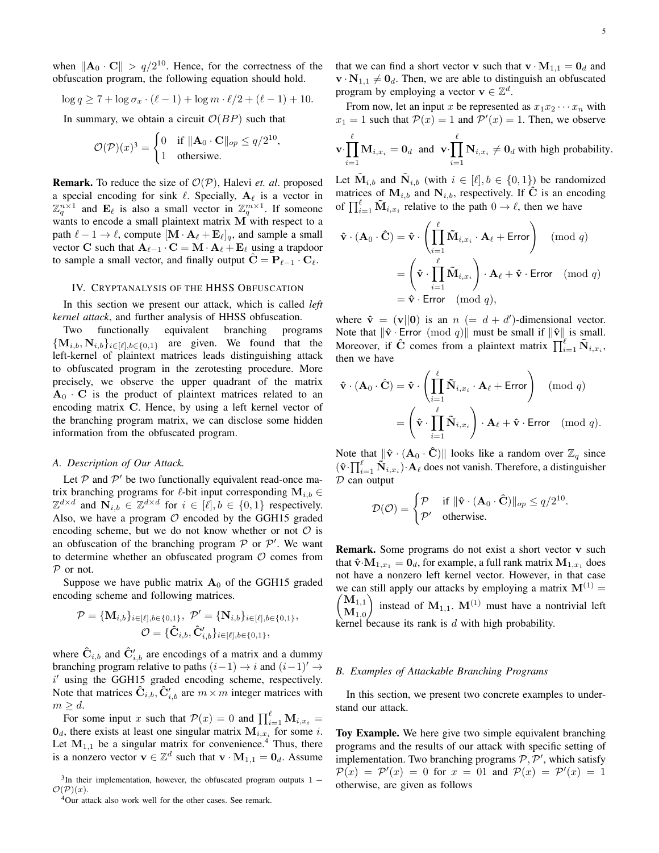when  $\|\mathbf{A}_0 \cdot \mathbf{C}\| > q/2^{10}$ . Hence, for the correctness of the obfuscation program, the following equation should hold.

$$
\log q \ge 7 + \log \sigma_x \cdot (\ell - 1) + \log m \cdot \ell / 2 + (\ell - 1) + 10.
$$

In summary, we obtain a circuit  $O(BP)$  such that

$$
\mathcal{O}(\mathcal{P})(x)^3 = \begin{cases} 0 & \text{if } \|\mathbf{A}_0 \cdot \mathbf{C}\|_{op} \le q/2^{10} \\ 1 & \text{otherwise.} \end{cases}
$$

,

Remark. To reduce the size of O(P), Halevi *et. al*. proposed a special encoding for sink  $\ell$ . Specially,  $A_{\ell}$  is a vector in  $\mathbb{Z}_q^{n\times 1}$  and  $\mathbf{E}_\ell$  is also a small vector in  $\mathbb{Z}_q^{m\times 1}$ . If someone wants to encode a small plaintext matrix M with respect to a path  $\ell - 1 \rightarrow \ell$ , compute  $[\mathbf{M} \cdot \mathbf{A}_{\ell} + \mathbf{E}_{\ell}]_q$ , and sample a small vector C such that  ${\bf A}_{\ell-1} \cdot {\bf C} = {\bf M} \cdot {\bf A}_{\ell} + {\bf E}_{\ell}$  using a trapdoor to sample a small vector, and finally output  $\hat{\mathbf{C}} = \mathbf{P}_{\ell-1} \cdot \mathbf{C}_{\ell}$ .

### IV. CRYPTANALYSIS OF THE HHSS OBFUSCATION

In this section we present our attack, which is called *left kernel attack*, and further analysis of HHSS obfuscation.

Two functionally equivalent branching programs  $\{\mathbf M_{i,b}, \mathbf N_{i,b}\}_{i\in[\ell],b\in\{0,1\}}$  are given. We found that the left-kernel of plaintext matrices leads distinguishing attack to obfuscated program in the zerotesting procedure. More precisely, we observe the upper quadrant of the matrix  $A_0 \cdot C$  is the product of plaintext matrices related to an encoding matrix C. Hence, by using a left kernel vector of the branching program matrix, we can disclose some hidden information from the obfuscated program.

## *A. Description of Our Attack.*

Let  $P$  and  $P'$  be two functionally equivalent read-once matrix branching programs for  $\ell$ -bit input corresponding  $M_{i,b} \in$  $\mathbb{Z}^{d \times d}$  and  $\mathbf{N}_{i,b} \in \mathbb{Z}^{d \times d}$  for  $i \in [\ell], b \in \{0,1\}$  respectively. Also, we have a program  $O$  encoded by the GGH15 graded encoding scheme, but we do not know whether or not  $\mathcal O$  is an obfuscation of the branching program  $P$  or  $P'$ . We want to determine whether an obfuscated program  $O$  comes from P or not.

Suppose we have public matrix  $A_0$  of the GGH15 graded encoding scheme and following matrices.

$$
\mathcal{P} = \{ \mathbf{M}_{i,b} \}_{i \in [\ell], b \in \{0,1\}}, \ \mathcal{P}' = \{ \mathbf{N}_{i,b} \}_{i \in [\ell], b \in \{0,1\}}, \newline \mathcal{O} = \{ \mathbf{\hat{C}}_{i,b}, \mathbf{\hat{C}}'_{i,b} \}_{i \in [\ell], b \in \{0,1\}},
$$

where  $\hat{\mathbf{C}}_{i,b}$  and  $\hat{\mathbf{C}}'_{i,b}$  are encodings of a matrix and a dummy branching program relative to paths  $(i-1) \rightarrow i$  and  $(i-1)' \rightarrow$ i' using the GGH15 graded encoding scheme, respectively. Note that matrices  $\hat{\mathbf{C}}_{i,b}, \hat{\mathbf{C}}'_{i,b}$  are  $m \times m$  integer matrices with  $m \geq d$ .

For some input x such that  $\mathcal{P}(x) = 0$  and  $\prod_{i=1}^{\ell} \mathbf{M}_{i,x_i} =$  $\mathbf{0}_d$ , there exists at least one singular matrix  $\mathbf{M}_{i,x_i}$  for some *i*. Let  $M_{1,1}$  be a singular matrix for convenience.<sup>4</sup> Thus, there is a nonzero vector  $\mathbf{v} \in \mathbb{Z}^d$  such that  $\mathbf{v} \cdot \mathbf{M}_{1,1} = \mathbf{0}_d$ . Assume that we can find a short vector **v** such that  $\mathbf{v} \cdot \mathbf{M}_{1,1} = \mathbf{0}_d$  and  $\mathbf{v} \cdot \mathbf{N}_{1,1} \neq \mathbf{0}_d$ . Then, we are able to distinguish an obfuscated program by employing a vector  $\mathbf{v} \in \mathbb{Z}^d$ .

From now, let an input x be represented as  $x_1x_2 \cdots x_n$  with  $x_1 = 1$  such that  $P(x) = 1$  and  $P'(x) = 1$ . Then, we observe  $\ell$  $\ell$ 

$$
\mathbf{v} \cdot \prod_{i=1} \mathbf{M}_{i,x_i} = \mathbf{0}_d \text{ and } \mathbf{v} \cdot \prod_{i=1} \mathbf{N}_{i,x_i} \neq \mathbf{0}_d \text{ with high probability.}
$$

Let  $\tilde{\mathbf{M}}_{i,b}$  and  $\tilde{\mathbf{N}}_{i,b}$  (with  $i \in [\ell], b \in \{0,1\}$ ) be randomized matrices of  $M_{i,b}$  and  $N_{i,b}$ , respectively. If C is an encoding of  $\prod_{i=1}^{\ell} \tilde{M}_{i,x_i}$  relative to the path  $0 \to \ell$ , then we have

$$
\hat{\mathbf{v}} \cdot (\mathbf{A}_0 \cdot \hat{\mathbf{C}}) = \hat{\mathbf{v}} \cdot \left( \prod_{i=1}^{\ell} \tilde{\mathbf{M}}_{i,x_i} \cdot \mathbf{A}_{\ell} + \text{Error} \right) \pmod{q}
$$

$$
= \left( \hat{\mathbf{v}} \cdot \prod_{i=1}^{\ell} \tilde{\mathbf{M}}_{i,x_i} \right) \cdot \mathbf{A}_{\ell} + \hat{\mathbf{v}} \cdot \text{Error} \pmod{q}
$$

$$
= \hat{\mathbf{v}} \cdot \text{Error} \pmod{q},
$$

where  $\hat{\mathbf{v}} = (\mathbf{v}||\mathbf{0})$  is an  $n (= d + d')$ -dimensional vector. Note that  $\|\hat{\mathbf{v}}\|$  · Error  $(\text{mod } q)\|$  must be small if  $\|\hat{\mathbf{v}}\|$  is small. Moreover, if  $\hat{C}$  comes from a plaintext matrix  $\prod_{i=1}^{\ell} \tilde{N}_{i,x_i}$ , then we have

$$
\hat{\mathbf{v}} \cdot (\mathbf{A}_0 \cdot \hat{\mathbf{C}}) = \hat{\mathbf{v}} \cdot \left( \prod_{i=1}^{\ell} \tilde{\mathbf{N}}_{i,x_i} \cdot \mathbf{A}_{\ell} + \text{Error} \right) \pmod{q}
$$

$$
= \left( \hat{\mathbf{v}} \cdot \prod_{i=1}^{\ell} \tilde{\mathbf{N}}_{i,x_i} \right) \cdot \mathbf{A}_{\ell} + \hat{\mathbf{v}} \cdot \text{Error} \pmod{q}.
$$

Note that  $\|\hat{\mathbf{v}} \cdot (\mathbf{A}_0 \cdot \hat{\mathbf{C}})\|$  looks like a random over  $\mathbb{Z}_q$  since  $(\hat{\mathbf{v}}\cdot\prod_{i=1}^{\ell}\tilde{\mathbf{N}}_{i,x_i})\cdot\mathbf{A}_{\ell}$  does not vanish. Therefore, a distinguisher  $D$  can output

$$
\mathcal{D}(\mathcal{O}) = \begin{cases} \mathcal{P} & \text{if } \|\hat{\mathbf{v}} \cdot (\mathbf{A}_0 \cdot \hat{\mathbf{C}})\|_{op} \le q/2^{10}. \\ \mathcal{P}' & \text{otherwise.} \end{cases}
$$

Remark. Some programs do not exist a short vector v such that  $\mathbf{\hat{v}} \cdot \mathbf{M}_{1,x_1} = \mathbf{0}_d$ , for example, a full rank matrix  $\mathbf{M}_{1,x_1}$  does not have a nonzero left kernel vector. However, in that case we can still apply our attacks by employing a matrix  $\mathbf{M}^{(1)} = \begin{pmatrix} \mathbf{M}_{1,1} & \cdots & \mathbf{M}_{n,1} \end{pmatrix}$  $\mathbf{M}_{1,1}\setminus$  $\mathbf{M}_{1,0}$ instead of  $M_{1,1}$ .  $M^{(1)}$  must have a nontrivial left kernel because its rank is d with high probability.

### *B. Examples of Attackable Branching Programs*

In this section, we present two concrete examples to understand our attack.

Toy Example. We here give two simple equivalent branching programs and the results of our attack with specific setting of implementation. Two branching programs  $P, P'$ , which satisfy  $\mathcal{P}(x) = \mathcal{P}'(x) = 0$  for  $x = 01$  and  $\mathcal{P}(x) = \mathcal{P}'(x) = 1$ otherwise, are given as follows

 $3$ In their implementation, however, the obfuscated program outputs 1 –  $\mathcal{O}(\mathcal{P})(x)$ .

<sup>4</sup>Our attack also work well for the other cases. See remark.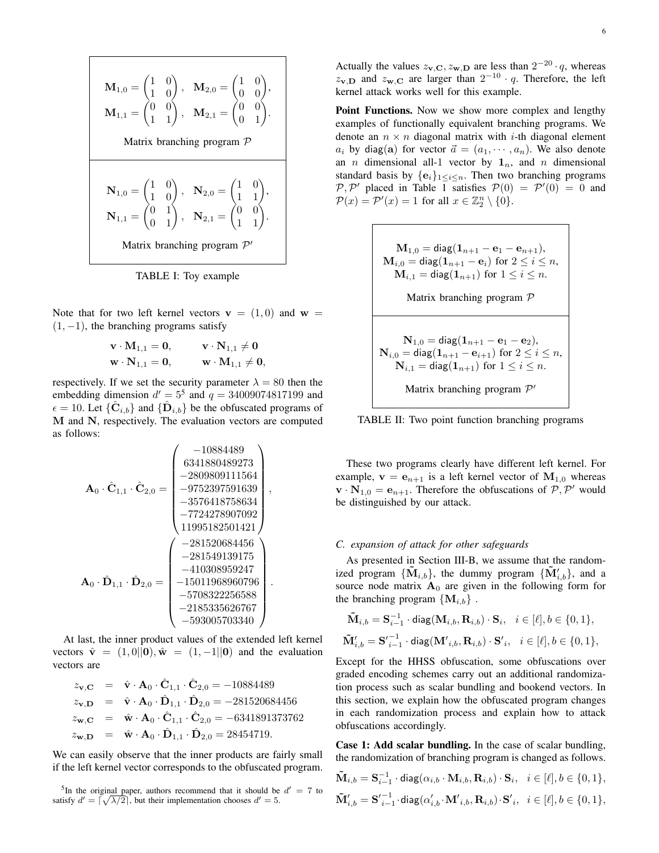$$
\mathbf{M}_{1,0} = \begin{pmatrix} 1 & 0 \\ 1 & 0 \end{pmatrix}, \quad \mathbf{M}_{2,0} = \begin{pmatrix} 1 & 0 \\ 0 & 0 \end{pmatrix},
$$

$$
\mathbf{M}_{1,1} = \begin{pmatrix} 0 & 0 \\ 1 & 1 \end{pmatrix}, \quad \mathbf{M}_{2,1} = \begin{pmatrix} 0 & 0 \\ 0 & 1 \end{pmatrix}.
$$
  
Matrix branching program  $\mathcal{P}$   

$$
\mathbf{N}_{1,0} = \begin{pmatrix} 1 & 0 \\ 1 & 0 \end{pmatrix}, \quad \mathbf{N}_{2,0} = \begin{pmatrix} 1 & 0 \\ 1 & 1 \end{pmatrix},
$$

$$
\mathbf{N}_{1,1} = \begin{pmatrix} 0 & 1 \\ 0 & 1 \end{pmatrix}, \quad \mathbf{N}_{2,1} = \begin{pmatrix} 0 & 0 \\ 1 & 1 \end{pmatrix}.
$$
  
Matrix branching program  $\mathcal{P}'$ 

TABLE I: Toy example

Note that for two left kernel vectors  $v = (1, 0)$  and  $w =$  $(1, -1)$ , the branching programs satisfy

$$
\begin{aligned} \mathbf{v} \cdot \mathbf{M}_{1,1} &= \mathbf{0}, & \mathbf{v} \cdot \mathbf{N}_{1,1} &\neq \mathbf{0} \\ \mathbf{w} \cdot \mathbf{N}_{1,1} &= \mathbf{0}, & \mathbf{w} \cdot \mathbf{M}_{1,1} &\neq \mathbf{0}, \end{aligned}
$$

respectively. If we set the security parameter  $\lambda = 80$  then the embedding dimension  $d' = 5^5$  and  $q = 34009074817199$  and  $\epsilon = 10$ . Let  $\{\hat{\mathbf{C}}_{i,b}\}$  and  $\{\hat{\mathbf{D}}_{i,b}\}$  be the obfuscated programs of M and N, respectively. The evaluation vectors are computed as follows:

$$
\mathbf{A}_0\cdot\hat{\mathbf{C}}_{1,1}\cdot\hat{\mathbf{C}}_{2,0}=\begin{pmatrix}-10884489\\6341880489273\\-2809809111564\\-9752397591639\\-3576418758634\\-7724278907092\\11995182501421\end{pmatrix},\\ \mathbf{A}_0\cdot\hat{\mathbf{D}}_{1,1}\cdot\hat{\mathbf{D}}_{2,0}=\begin{pmatrix}-281520684456\\-281549139175\\-410308959247\\-5708322256588\\-2185335626767\\-593005703340\end{pmatrix}.
$$

At last, the inner product values of the extended left kernel vectors  $\hat{\mathbf{v}} = (1, 0||\mathbf{0}), \hat{\mathbf{w}} = (1, -1||\mathbf{0})$  and the evaluation vectors are

$$
z_{\mathbf{v},\mathbf{C}} = \hat{\mathbf{v}} \cdot \mathbf{A}_0 \cdot \hat{\mathbf{C}}_{1,1} \cdot \hat{\mathbf{C}}_{2,0} = -10884489
$$
  
\n
$$
z_{\mathbf{v},\mathbf{D}} = \hat{\mathbf{v}} \cdot \mathbf{A}_0 \cdot \hat{\mathbf{D}}_{1,1} \cdot \hat{\mathbf{D}}_{2,0} = -281520684456
$$
  
\n
$$
z_{\mathbf{w},\mathbf{C}} = \hat{\mathbf{w}} \cdot \mathbf{A}_0 \cdot \hat{\mathbf{C}}_{1,1} \cdot \hat{\mathbf{C}}_{2,0} = -6341891373762
$$
  
\n
$$
z_{\mathbf{w},\mathbf{D}} = \hat{\mathbf{w}} \cdot \mathbf{A}_0 \cdot \hat{\mathbf{D}}_{1,1} \cdot \hat{\mathbf{D}}_{2,0} = 28454719.
$$

We can easily observe that the inner products are fairly small if the left kernel vector corresponds to the obfuscated program.

6

Actually the values  $z_{\mathbf{v},\mathbf{C}}, z_{\mathbf{w},\mathbf{D}}$  are less than  $2^{-20} \cdot q$ , whereas  $z_{v,D}$  and  $z_{w,C}$  are larger than  $2^{-10} \cdot q$ . Therefore, the left kernel attack works well for this example.

Point Functions. Now we show more complex and lengthy examples of functionally equivalent branching programs. We denote an  $n \times n$  diagonal matrix with *i*-th diagonal element  $a_i$  by diag(a) for vector  $\vec{a} = (a_1, \dots, a_n)$ . We also denote an *n* dimensional all-1 vector by  $1_n$ , and *n* dimensional standard basis by  $\{e_i\}_{1\leq i\leq n}$ . Then two branching programs  $P, P'$  placed in Table 1 satisfies  $P(0) = P'(0) = 0$  and  $\mathcal{P}(x) = \mathcal{P}'(x) = 1$  for all  $x \in \mathbb{Z}_2^n \setminus \{0\}.$ 

$$
M_{1,0} = \text{diag}(1_{n+1} - e_1 - e_{n+1}),
$$
\n
$$
M_{i,0} = \text{diag}(1_{n+1} - e_i) \text{ for } 2 \leq i \leq n,
$$
\n
$$
M_{i,1} = \text{diag}(1_{n+1}) \text{ for } 1 \leq i \leq n.
$$
\nMatrix branching program  $\mathcal{P}$ 

\n
$$
N_{i,0} = \text{diag}(1_{n+1} - e_1 - e_2),
$$
\n
$$
N_{i,0} = \text{diag}(1_{n+1} - e_{i+1}) \text{ for } 2 \leq i \leq n,
$$
\n
$$
N_{i,1} = \text{diag}(1_{n+1}) \text{ for } 1 \leq i \leq n.
$$
\nMatrix branching program  $\mathcal{P}'$ 

TABLE II: Two point function branching programs

These two programs clearly have different left kernel. For example,  $\mathbf{v} = \mathbf{e}_{n+1}$  is a left kernel vector of  $\mathbf{M}_{1,0}$  whereas  $\mathbf{v} \cdot \mathbf{N}_{1,0} = \mathbf{e}_{n+1}$ . Therefore the obfuscations of  $\mathcal{P}, \mathcal{P}'$  would be distinguished by our attack.

## *C. expansion of attack for other safeguards*

As presented in Section III-B, we assume that the randomized program  $\{\tilde{\mathbf{M}}_{i,b}\},$  the dummy program  $\{\tilde{\mathbf{M}}_{i,b}'\},$  and a source node matrix  $A_0$  are given in the following form for the branching program  $\{M_{i,b}\}\.$ 

$$
\begin{aligned} &\tilde{\mathbf{M}}_{i,b} = \mathbf{S}_{i-1}^{-1} \cdot \text{diag}(\mathbf{M}_{i,b}, \mathbf{R}_{i,b}) \cdot \mathbf{S}_{i}, \ \ i \in [\ell], b \in \{0,1\}, \\ &\tilde{\mathbf{M}}_{i,b}' = \mathbf{S'}_{i-1}^{-1} \cdot \text{diag}(\mathbf{M'}_{i,b}, \mathbf{R}_{i,b}) \cdot \mathbf{S'}_{i}, \ \ i \in [\ell], b \in \{0,1\}, \end{aligned}
$$

Except for the HHSS obfuscation, some obfuscations over graded encoding schemes carry out an additional randomization process such as scalar bundling and bookend vectors. In this section, we explain how the obfuscated program changes in each randomization process and explain how to attack obfuscations accordingly.

Case 1: Add scalar bundling. In the case of scalar bundling, the randomization of branching program is changed as follows.

$$
\begin{aligned} &\tilde{\mathbf{M}}_{i,b}=\mathbf{S}_{i-1}^{-1}\cdot{\rm diag}(\alpha_{i,b}\cdot\mathbf{M}_{i,b},\mathbf{R}_{i,b})\cdot\mathbf{S}_i,\hspace{2mm}i\in[\ell],b\in\{0,1\},\\ &\tilde{\mathbf{M}}_{i,b}'=\mathbf{S'}_{i-1}^{-1}\cdot{\rm diag}(\alpha_{i,b}'\cdot\mathbf{M'}_{i,b},\mathbf{R}_{i,b})\cdot\mathbf{S'}_{i},\hspace{2mm}i\in[\ell],b\in\{0,1\}, \end{aligned}
$$

<sup>&</sup>lt;sup>5</sup>In the original paper, authors recommend that it should be  $d' = 7$  to satisfy  $d' = \lceil \sqrt{\lambda/2} \rceil$ , but their implementation chooses  $d' = 5$ .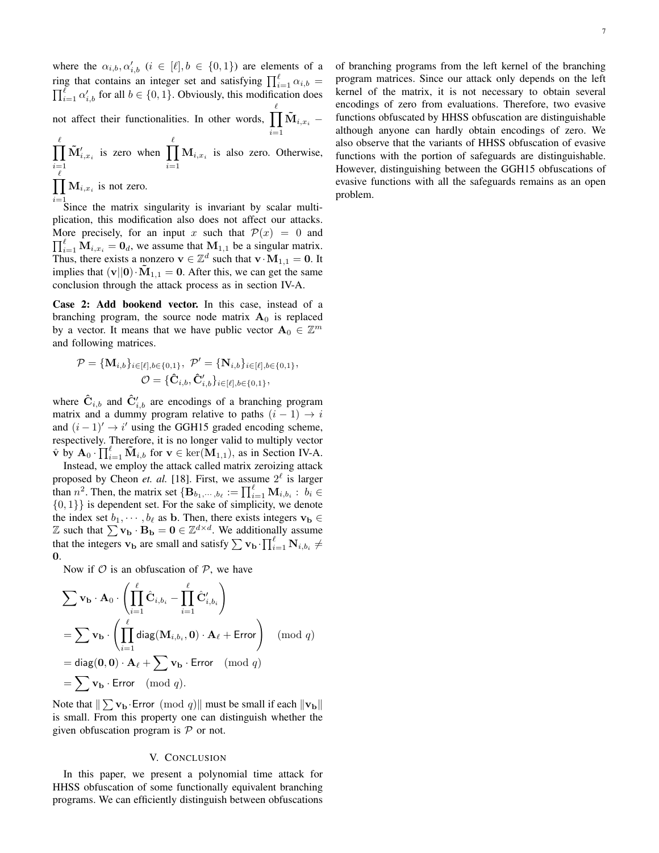where the  $\alpha_{i,b}, \alpha'_{i,b}$   $(i \in [\ell], b \in \{0,1\})$  are elements of a ring that contains an integer set and satisfying  $\prod_{i=1}^{\ell} \alpha_{i,b} =$  $\prod_{i=1}^{\ell} \alpha'_{i,b}$  for all  $b \in \{0,1\}$ . Obviously, this modification does not affect their functionalities. In other words,  $\prod^{\ell}$  $\mathbf{\tilde{M}}_{i,x_i}$   $-$ 

 $i=1$  $\frac{\ell}{\prod}$  $i=1$  $\tilde{\mathbf{M}}'_{i,x_i}$  is zero when  $\prod^{\ell}$  $i=1$  $M_{i,x_i}$  is also zero. Otherwise,  $\prod_{i,x_i}$  is not zero.  $_{\ell}$ 

 $i=1$  Since the matrix singularity is invariant by scalar multiplication, this modification also does not affect our attacks. More precisely, for an input x such that  $\mathcal{P}(x) = 0$  and  $\prod_{i=1}^{\ell} M_{i,x_i} = 0_d$ , we assume that  $M_{1,1}$  be a singular matrix. Thus, there exists a nonzero  $\mathbf{v} \in \mathbb{Z}^d$  such that  $\mathbf{v} \cdot \mathbf{M}_{1,1} = \mathbf{0}$ . It implies that  $(v||0) \cdot \tilde{M}_{1,1} = 0$ . After this, we can get the same conclusion through the attack process as in section IV-A.

Case 2: Add bookend vector. In this case, instead of a branching program, the source node matrix  $A_0$  is replaced by a vector. It means that we have public vector  $\mathbf{A}_0 \in \mathbb{Z}^m$ and following matrices.

$$
\mathcal{P} = \{ \mathbf{M}_{i,b} \}_{i \in [\ell], b \in \{0,1\}}, \ \mathcal{P}' = \{ \mathbf{N}_{i,b} \}_{i \in [\ell], b \in \{0,1\}}, \newline \mathcal{O} = \{ \hat{\mathbf{C}}_{i,b}, \hat{\mathbf{C}}'_{i,b} \}_{i \in [\ell], b \in \{0,1\}},
$$

where  $\hat{\mathbf{C}}_{i,b}$  and  $\hat{\mathbf{C}}'_{i,b}$  are encodings of a branching program matrix and a dummy program relative to paths  $(i - 1) \rightarrow i$ and  $(i - 1)' \rightarrow i'$  using the GGH15 graded encoding scheme, respectively. Therefore, it is no longer valid to multiply vector  $\hat{\mathbf{v}}$  by  $\mathbf{A}_0 \cdot \prod_{i=1}^{\ell} \tilde{\mathbf{M}}_{i,b}$  for  $\mathbf{v} \in \text{ker}(\mathbf{M}_{1,1}),$  as in Section IV-A.

Instead, we employ the attack called matrix zeroizing attack proposed by Cheon *et. al.* [18]. First, we assume  $2^{\ell}$  is larger than  $n^2$ . Then, the matrix set  $\{B_{b_1,\dots, b_\ell} := \prod_{i=1}^\ell M_{i,b_i} : b_i \in$  $\{0, 1\}$  is dependent set. For the sake of simplicity, we denote the index set  $b_1, \dots, b_\ell$  as b. Then, there exists integers  $\mathbf{v}_\mathbf{b} \in$  $\mathbb{Z}$  such that  $\sum \mathbf{v}_\mathbf{b} \cdot \mathbf{B}_\mathbf{b} = \mathbf{0} \in \mathbb{Z}^{d \times d}$ . We additionally assume that the integers  $\mathbf{v}_\mathbf{b}$  are small and satisfy  $\sum \mathbf{v}_\mathbf{b} \cdot \prod_{i=1}^{\ell} \mathbf{N}_{i,b_i} \neq$ 0.

Now if  $\mathcal O$  is an obfuscation of  $\mathcal P$ , we have

$$
\sum \mathbf{v}_{\mathbf{b}} \cdot \mathbf{A}_{0} \cdot \left( \prod_{i=1}^{\ell} \hat{\mathbf{C}}_{i,b_{i}} - \prod_{i=1}^{\ell} \hat{\mathbf{C}}'_{i,b_{i}} \right)
$$
  
= 
$$
\sum \mathbf{v}_{\mathbf{b}} \cdot \left( \prod_{i=1}^{\ell} \text{diag}(\mathbf{M}_{i,b_{i}}, \mathbf{0}) \cdot \mathbf{A}_{\ell} + \text{Error} \right) \pmod{q}
$$
  
= 
$$
\text{diag}(\mathbf{0}, \mathbf{0}) \cdot \mathbf{A}_{\ell} + \sum \mathbf{v}_{\mathbf{b}} \cdot \text{Error} \pmod{q}
$$
  
= 
$$
\sum \mathbf{v}_{\mathbf{b}} \cdot \text{Error} \pmod{q}.
$$

Note that  $\|\sum \mathbf{v}_\mathbf{b} \cdot \textsf{Error} \pmod{q}\|$  must be small if each  $\|\mathbf{v}_\mathbf{b}\|$ is small. From this property one can distinguish whether the given obfuscation program is  $P$  or not.

## V. CONCLUSION

In this paper, we present a polynomial time attack for HHSS obfuscation of some functionally equivalent branching programs. We can efficiently distinguish between obfuscations of branching programs from the left kernel of the branching program matrices. Since our attack only depends on the left kernel of the matrix, it is not necessary to obtain several encodings of zero from evaluations. Therefore, two evasive functions obfuscated by HHSS obfuscation are distinguishable although anyone can hardly obtain encodings of zero. We also observe that the variants of HHSS obfuscation of evasive functions with the portion of safeguards are distinguishable. However, distinguishing between the GGH15 obfuscations of evasive functions with all the safeguards remains as an open

problem.